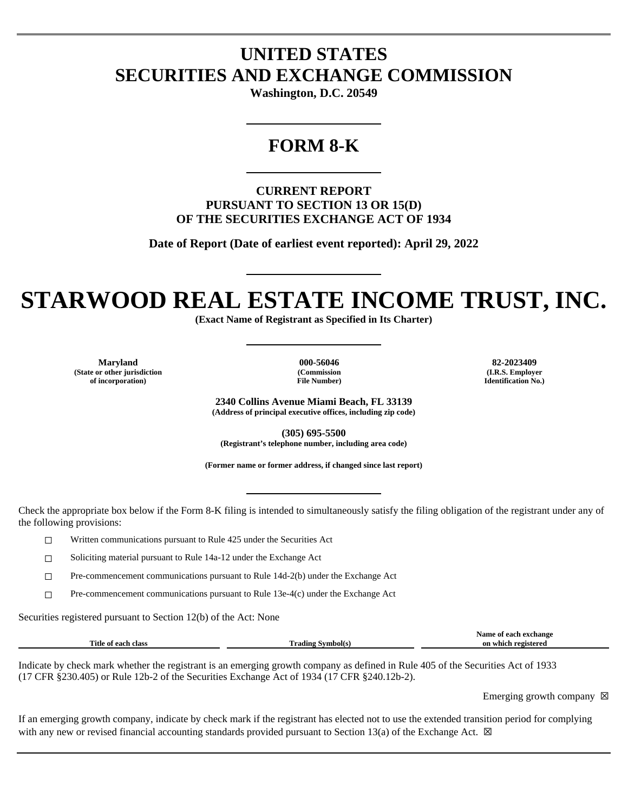## **UNITED STATES SECURITIES AND EXCHANGE COMMISSION**

**Washington, D.C. 20549**

### **FORM 8-K**

**CURRENT REPORT PURSUANT TO SECTION 13 OR 15(D) OF THE SECURITIES EXCHANGE ACT OF 1934**

**Date of Report (Date of earliest event reported): April 29, 2022**

# **STARWOOD REAL ESTATE INCOME TRUST, INC.**

**(Exact Name of Registrant as Specified in Its Charter)**

**Maryland 000-56046 82-2023409 (State or other jurisdiction of incorporation)**

**(Commission File Number)**

**(I.R.S. Employer Identification No.)**

**2340 Collins Avenue Miami Beach, FL 33139 (Address of principal executive offices, including zip code)**

**(305) 695-5500 (Registrant's telephone number, including area code)**

**(Former name or former address, if changed since last report)**

Check the appropriate box below if the Form 8-K filing is intended to simultaneously satisfy the filing obligation of the registrant under any of the following provisions:

☐ Written communications pursuant to Rule 425 under the Securities Act

☐ Soliciting material pursuant to Rule 14a-12 under the Exchange Act

☐ Pre-commencement communications pursuant to Rule 14d-2(b) under the Exchange Act

 $\Box$  Pre-commencement communications pursuant to Rule 13e-4(c) under the Exchange Act

Securities registered pursuant to Section 12(b) of the Act: None

|                                |                            | Name<br>exchange<br>$\cdots$ |
|--------------------------------|----------------------------|------------------------------|
| Title<br>clas.<br>. each<br>Оf | m<br>`rading .<br>™mbol(s. | registered<br>or<br>which    |
|                                |                            |                              |

Indicate by check mark whether the registrant is an emerging growth company as defined in Rule 405 of the Securities Act of 1933 (17 CFR §230.405) or Rule 12b-2 of the Securities Exchange Act of 1934 (17 CFR §240.12b-2).

Emerging growth company  $\boxtimes$ 

If an emerging growth company, indicate by check mark if the registrant has elected not to use the extended transition period for complying with any new or revised financial accounting standards provided pursuant to Section 13(a) of the Exchange Act.  $\boxtimes$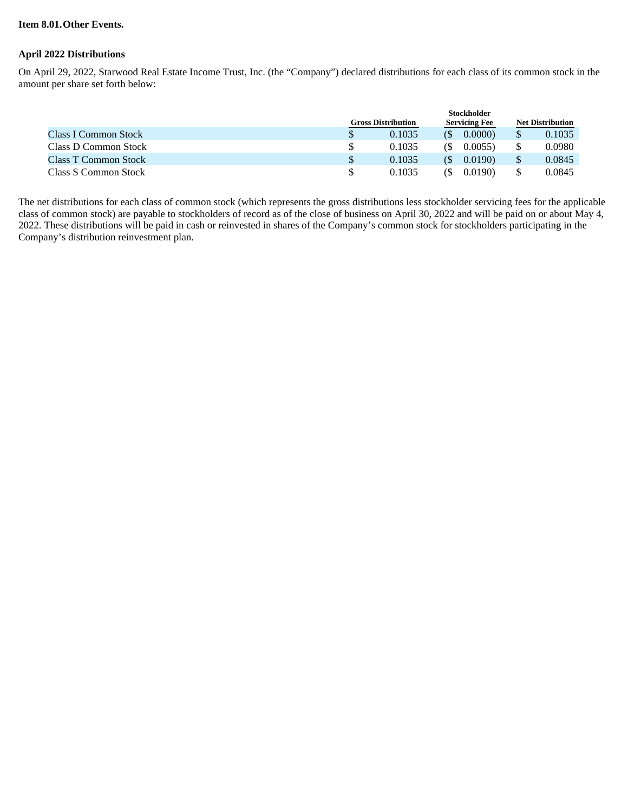#### **Item 8.01.Other Events.**

#### **April 2022 Distributions**

On April 29, 2022, Starwood Real Estate Income Trust, Inc. (the "Company") declared distributions for each class of its common stock in the amount per share set forth below:

|                             |                           | <b>Stockholder</b> |                      |        |                         |        |  |
|-----------------------------|---------------------------|--------------------|----------------------|--------|-------------------------|--------|--|
|                             | <b>Gross Distribution</b> |                    | <b>Servicing Fee</b> |        | <b>Net Distribution</b> |        |  |
| <b>Class I Common Stock</b> |                           | 0.1035             |                      | 0.0000 |                         | 0.1035 |  |
| Class D Common Stock        |                           | 0.1035             | ſ\$                  | 0.0055 |                         | 0.0980 |  |
| Class T Common Stock        |                           | 0.1035             | (S)                  | 0.0190 |                         | 0.0845 |  |
| Class S Common Stock        |                           | 0.1035             | ß)                   | 0.0190 |                         | 0.0845 |  |

The net distributions for each class of common stock (which represents the gross distributions less stockholder servicing fees for the applicable class of common stock) are payable to stockholders of record as of the close of business on April 30, 2022 and will be paid on or about May 4, 2022. These distributions will be paid in cash or reinvested in shares of the Company's common stock for stockholders participating in the Company's distribution reinvestment plan.